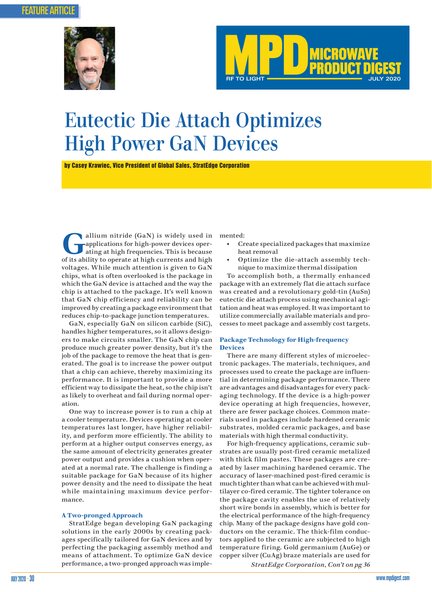<span id="page-0-0"></span>



# Eutectic Die Attach Optimizes High Power GaN Devices

by Casey Krawiec, Vice President of Global Sales, StratEdge Corporation

allium nitride (GaN) is widely used in<br>applications for high-power devices oper-<br>ating at high frequencies. This is because applications for high-power devices operating at high frequencies. This is because of its ability to operate at high currents and high voltages. While much attention is given to GaN chips, what is often overlooked is the package in which the GaN device is attached and the way the chip is attached to the package. It's well known that GaN chip efficiency and reliability can be improved by creating a package environment that reduces chip-to-package junction temperatures.

GaN, especially GaN on silicon carbide (SiC), handles higher temperatures, so it allows designers to make circuits smaller. The GaN chip can produce much greater power density, but it's the job of the package to remove the heat that is generated. The goal is to increase the power output that a chip can achieve, thereby maximizing its performance. It is important to provide a more efficient way to dissipate the heat, so the chip isn't as likely to overheat and fail during normal operation.

One way to increase power is to run a chip at a cooler temperature. Devices operating at cooler temperatures last longer, have higher reliability, and perform more efficiently. The ability to perform at a higher output conserves energy, as the same amount of electricity generates greater power output and provides a cushion when operated at a normal rate. The challenge is finding a suitable package for GaN because of its higher power density and the need to dissipate the heat while maintaining maximum device performance.

### **A Two-pronged Approach**

StratEdge began developing GaN packaging solutions in the early 2000s by creating packages specifically tailored for GaN devices and by perfecting the packaging assembly method and means of attachment. To optimize GaN device performance, a two-pronged approach was implemented:

- Create specialized packages that maximize heat removal
- Optimize the die-attach assembly technique to maximize thermal dissipation

To accomplish both, a thermally enhanced package with an extremely flat die attach surface was created and a revolutionary gold-tin (AuSn) eutectic die attach process using mechanical agitation and heat was employed. It was important to utilize commercially available materials and processes to meet package and assembly cost targets.

## **Package Technology for High-frequency Devices**

There are many different styles of microelectronic packages. The materials, techniques, and processes used to create the package are influential in determining package performance. There are advantages and disadvantages for every packaging technology. If the device is a high-power device operating at high frequencies, however, there are fewer package choices. Common materials used in packages include hardened ceramic substrates, molded ceramic packages, and base materials with high thermal conductivity.

For high-frequency applications, ceramic substrates are usually post-fired ceramic metalized with thick film pastes. These packages are created by laser machining hardened ceramic. The accuracy of laser-machined post-fired ceramic is much tighter than what can be achieved with multilayer co-fired ceramic. The tighter tolerance on the package cavity enables the use of relatively short wire bonds in assembly, which is better for the electrical performance of the high-frequency chip. Many of the package designs have gold conductors on the ceramic. The thick-film conductors applied to the ceramic are subjected to high temperature firing. Gold germanium (AuGe) or copper silver (CuAg) braze materials are used for

*[StratEdge Corporation, Con't on pg 36](#page-1-0)*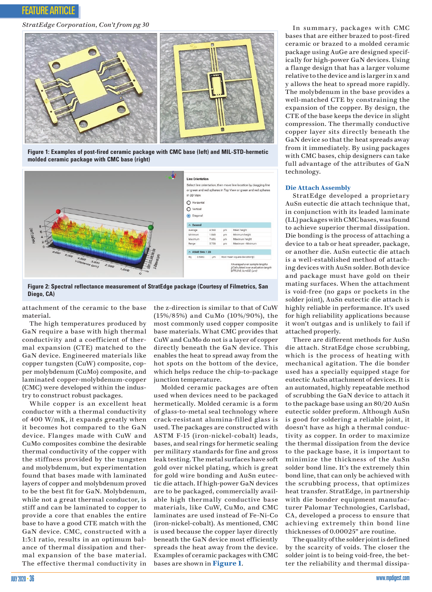<span id="page-1-0"></span>

*[StratEdge Corporation, Con't from pg 30](#page-0-0)*



**Figure 1: Examples of post-fired ceramic package with CMC base (left) and MIL-STD-hermetic molded ceramic package with CMC base (right)**



**Figure 2: Spectral reflectance measurement of StratEdge package (Courtesy of Filmetrics, San Diego, CA)**

attachment of the ceramic to the base material.

The high temperatures produced by GaN require a base with high thermal conductivity and a coefficient of thermal expansion (CTE) matched to the GaN device. Engineered materials like copper tungsten (CuW) composite, copper molybdenum (CuMo) composite, and laminated copper-molybdenum-copper (CMC) were developed within the industry to construct robust packages.

While copper is an excellent heat conductor with a thermal conductivity of 400 W/mK, it expands greatly when it becomes hot compared to the GaN device. Flanges made with CuW and CuMo composites combine the desirable thermal conductivity of the copper with the stiffness provided by the tungsten and molybdenum, but experimentation found that bases made with laminated layers of copper and molybdenum proved to be the best fit for GaN. Molybdenum, while not a great thermal conductor, is stiff and can be laminated to copper to provide a core that enables the entire base to have a good CTE match with the GaN device. CMC, constructed with a 1:3:1 ratio, results in an optimum balance of thermal dissipation and thermal expansion of the base material. The effective thermal conductivity in

the z-direction is similar to that of CuW (15%/85%) and CuMo (10%/90%), the most commonly used copper composite base materials. What CMC provides that CuW and CuMo do not is a layer of copper directly beneath the GaN device. This enables the heat to spread away from the hot spots on the bottom of the device, which helps reduce the chip-to-package junction temperature.

Molded ceramic packages are often used when devices need to be packaged hermetically. Molded ceramic is a form of glass-to-metal seal technology where crack-resistant alumina-filled glass is used. The packages are constructed with ASTM F-15 (iron-nickel-cobalt) leads, bases, and seal rings for hermetic sealing per military standards for fine and gross leak testing. The metal surfaces have soft gold over nickel plating, which is great for gold wire bonding and AuSn eutectic die attach. If high-power GaN devices are to be packaged, commercially available high thermally conductive base materials, like CuW, CuMo, and CMC laminates are used instead of Fe-Ni-Co (iron-nickel-cobalt). As mentioned, CMC is used because the copper layer directly beneath the GaN device most efficiently spreads the heat away from the device. Examples of ceramic packages with CMC bases are shown in **Figure 1**.

In summary, packages with CMC bases that are either brazed to post-fired ceramic or brazed to a molded ceramic package using AuGe are designed specifically for high-power GaN devices. Using a flange design that has a larger volume relative to the device and is larger in x and y allows the heat to spread more rapidly. The molybdenum in the base provides a well-matched CTE by constraining the expansion of the copper. By design, the CTE of the base keeps the device in slight compression. The thermally conductive copper layer sits directly beneath the GaN device so that the heat spreads away from it immediately. By using packages with CMC bases, chip designers can take full advantage of the attributes of GaN technology.

#### **Die Attach Assembly**

StratEdge developed a proprietary AuSn eutectic die attach technique that, in conjunction with its leaded laminate (LL) packages with CMC bases, was found to achieve superior thermal dissipation. Die bonding is the process of attaching a device to a tab or heat spreader, package, or another die. AuSn eutectic die attach is a well-established method of attaching devices with AuSn solder. Both device and package must have gold on their mating surfaces. When the attachment is void-free (no gaps or pockets in the solder joint), AuSn eutectic die attach is highly reliable in performance. It's used for high reliability applications because it won't outgas and is unlikely to fail if attached properly.

There are different methods for AuSn die attach. StratEdge chose scrubbing, which is the process of heating with mechanical agitation. The die bonder used has a specially equipped stage for eutectic AuSn attachment of devices. It is an automated, highly repeatable method of scrubbing the GaN device to attach it to the package base using an 80/20 AuSn eutectic solder preform. Although AuSn is good for soldering a reliable joint, it doesn't have as high a thermal conductivity as copper. In order to maximize the thermal dissipation from the device to the package base, it is important to minimize the thickness of the AuSn solder bond line. It's the extremely thin bond line, that can only be achieved with the scrubbing process, that optimizes heat transfer. StratEdge, in partnership with die bonder equipment manufacturer Palomar Technologies, Carlsbad, CA, developed a process to ensure that achieving extremely thin bond line thicknesses of 0.00025" are routine.

The quality of the solder joint is defined by the scarcity of voids. The closer the solder joint is to being void-free, the better the reliability and thermal dissipa-